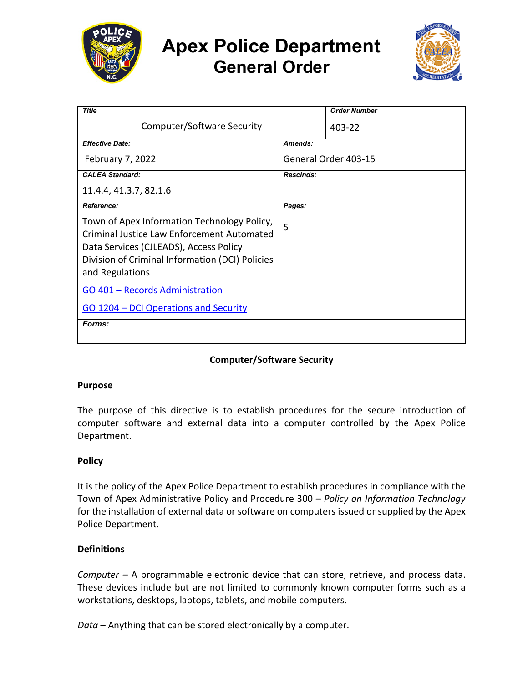

# **Apex Police Department General Order**



| <b>Title</b>                                                                                                                                                                                                     |                      | <b>Order Number</b> |
|------------------------------------------------------------------------------------------------------------------------------------------------------------------------------------------------------------------|----------------------|---------------------|
| Computer/Software Security                                                                                                                                                                                       |                      | 403-22              |
| <b>Effective Date:</b>                                                                                                                                                                                           | Amends:              |                     |
| <b>February 7, 2022</b>                                                                                                                                                                                          | General Order 403-15 |                     |
| <b>CALEA Standard:</b>                                                                                                                                                                                           | <b>Rescinds:</b>     |                     |
| 11.4.4, 41.3.7, 82.1.6                                                                                                                                                                                           |                      |                     |
| <b>Reference:</b>                                                                                                                                                                                                | Pages:               |                     |
| Town of Apex Information Technology Policy,<br><b>Criminal Justice Law Enforcement Automated</b><br>Data Services (CJLEADS), Access Policy<br>Division of Criminal Information (DCI) Policies<br>and Regulations | 5                    |                     |
| GO 401 - Records Administration                                                                                                                                                                                  |                      |                     |
| GO 1204 – DCI Operations and Security                                                                                                                                                                            |                      |                     |
| <b>Forms:</b>                                                                                                                                                                                                    |                      |                     |

# **Computer/Software Security**

# **Purpose**

The purpose of this directive is to establish procedures for the secure introduction of computer software and external data into a computer controlled by the Apex Police Department.

# **Policy**

It is the policy of the Apex Police Department to establish procedures in compliance with the Town of Apex Administrative Policy and Procedure 300 – *Policy on Information Technology*  for the installation of external data or software on computers issued or supplied by the Apex Police Department.

# **Definitions**

*Computer –* A programmable electronic device that can store, retrieve, and process data. These devices include but are not limited to commonly known computer forms such as a workstations, desktops, laptops, tablets, and mobile computers.

*Data* – Anything that can be stored electronically by a computer.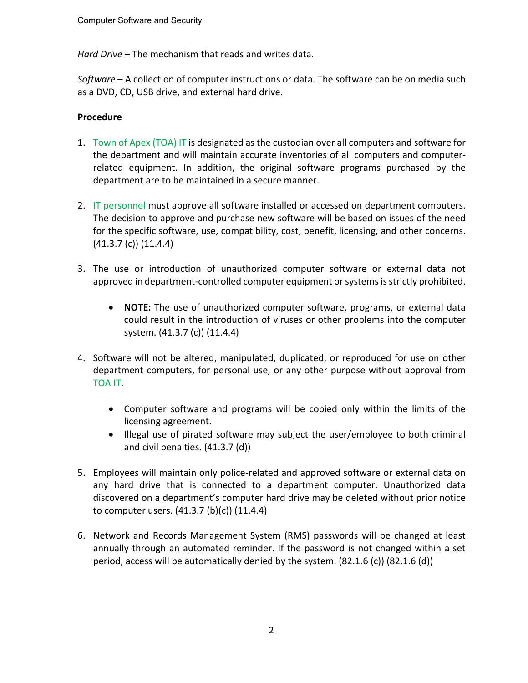*Hard Drive* – The mechanism that reads and writes data.

*Software* – A collection of computer instructions or data. The software can be on media such as a DVD, CD, USB drive, and external hard drive.

# **Procedure**

- 1. Town of Apex (TOA) IT is designated as the custodian over all computers and software for the department and will maintain accurate inventories of all computers and computerrelated equipment. In addition, the original software programs purchased by the department are to be maintained in a secure manner.
- 2. IT personnel must approve all software installed or accessed on department computers. The decision to approve and purchase new software will be based on issues of the need for the specific software, use, compatibility, cost, benefit, licensing, and other concerns. (41.3.7 (c)) (11.4.4)
- 3. The use or introduction of unauthorized computer software or external data not approved in department-controlled computer equipment or systems is strictly prohibited.
	- **NOTE:** The use of unauthorized computer software, programs, or external data could result in the introduction of viruses or other problems into the computer system. (41.3.7 (c)) (11.4.4)
- 4. Software will not be altered, manipulated, duplicated, or reproduced for use on other department computers, for personal use, or any other purpose without approval from TOA IT.
	- Computer software and programs will be copied only within the limits of the licensing agreement.
	- Illegal use of pirated software may subject the user/employee to both criminal and civil penalties. (41.3.7 (d))
- 5. Employees will maintain only police-related and approved software or external data on any hard drive that is connected to a department computer. Unauthorized data discovered on a department's computer hard drive may be deleted without prior notice to computer users. (41.3.7 (b)(c)) (11.4.4)
- 6. Network and Records Management System (RMS) passwords will be changed at least annually through an automated reminder. If the password is not changed within a set period, access will be automatically denied by the system.  $(82.1.6 \text{ (c)})(82.1.6 \text{ (d)})$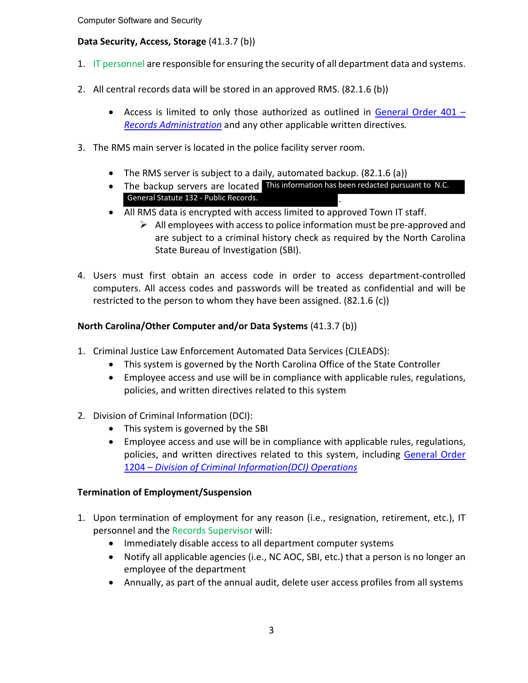Computer Software and Security

# **Data Security, Access, Storage** (41.3.7 (b))

- 1. IT personnel are responsible for ensuring the security of all department data and systems.
- 2. All central records data will be stored in an approved RMS. (82.1.6 (b))
	- Access is limited to only those authorized as outlined in [General Order 401 –](https://powerdms.com/link/APEXPD/document/?id=447429) *[Records Administration](https://powerdms.com/link/APEXPD/document/?id=447429)* and any other applicable written directives*.*
- 3. The RMS main server is located in the police facility server room.
	- The RMS server is subject to a daily, automated backup. (82.1.6 (a))
	- The backup servers are located This information has been redacted pursuant to N.C. . General Statute 132 - Public Records.
	- All RMS data is encrypted with access limited to approved Town IT staff.
		- $\triangleright$  All employees with access to police information must be pre-approved and are subject to a criminal history check as required by the North Carolina State Bureau of Investigation (SBI).
- 4. Users must first obtain an access code in order to access department-controlled computers. All access codes and passwords will be treated as confidential and will be restricted to the person to whom they have been assigned. (82.1.6 (c))

# **North Carolina/Other Computer and/or Data Systems** (41.3.7 (b))

- 1. Criminal Justice Law Enforcement Automated Data Services (CJLEADS):
	- This system is governed by the North Carolina Office of the State Controller
	- Employee access and use will be in compliance with applicable rules, regulations, policies, and written directives related to this system
- 2. Division of Criminal Information (DCI):
	- This system is governed by the SBI
	- Employee access and use will be in compliance with applicable rules, regulations, policies, and written directives related to this system, including [General Order](https://powerdms.com/link/APEXPD/document/?id=581707) 1204 – *[Division of Criminal Information\(DCI\)](https://powerdms.com/link/APEXPD/document/?id=581707) Operations*

# **Termination of Employment/Suspension**

- 1. Upon termination of employment for any reason (i.e., resignation, retirement, etc.), IT personnel and the Records Supervisor will:
	- Immediately disable access to all department computer systems
	- Notify all applicable agencies (i.e., NC AOC, SBI, etc.) that a person is no longer an employee of the department
	- Annually, as part of the annual audit, delete user access profiles from all systems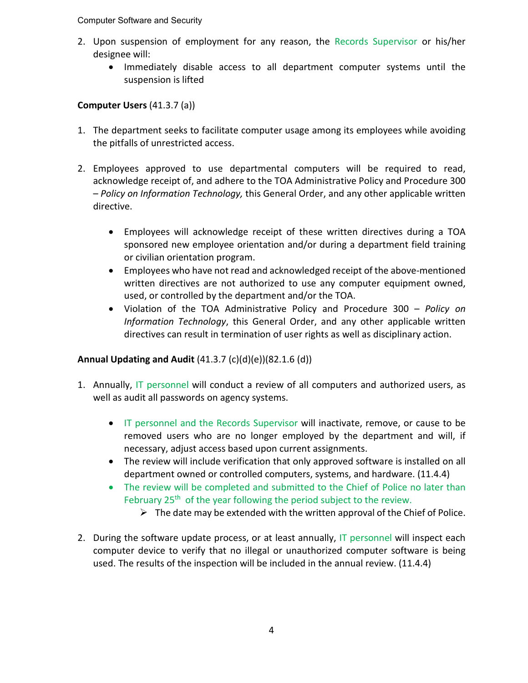#### Computer Software and Security

- 2. Upon suspension of employment for any reason, the Records Supervisor or his/her designee will:
	- Immediately disable access to all department computer systems until the suspension is lifted

# **Computer Users** (41.3.7 (a))

- 1. The department seeks to facilitate computer usage among its employees while avoiding the pitfalls of unrestricted access.
- 2. Employees approved to use departmental computers will be required to read, acknowledge receipt of, and adhere to the TOA Administrative Policy and Procedure 300 – *Policy on Information Technology,* this General Order, and any other applicable written directive.
	- Employees will acknowledge receipt of these written directives during a TOA sponsored new employee orientation and/or during a department field training or civilian orientation program.
	- Employees who have not read and acknowledged receipt of the above-mentioned written directives are not authorized to use any computer equipment owned, used, or controlled by the department and/or the TOA.
	- Violation of the TOA Administrative Policy and Procedure 300 *Policy on Information Technology*, this General Order, and any other applicable written directives can result in termination of user rights as well as disciplinary action.

# **Annual Updating and Audit** (41.3.7 (c)(d)(e))(82.1.6 (d))

- 1. Annually, IT personnel will conduct a review of all computers and authorized users, as well as audit all passwords on agency systems.
	- IT personnel and the Records Supervisor will inactivate, remove, or cause to be removed users who are no longer employed by the department and will, if necessary, adjust access based upon current assignments.
	- The review will include verification that only approved software is installed on all department owned or controlled computers, systems, and hardware. (11.4.4)
	- The review will be completed and submitted to the Chief of Police no later than February  $25<sup>th</sup>$  of the year following the period subject to the review.
		- $\triangleright$  The date may be extended with the written approval of the Chief of Police.
- 2. During the software update process, or at least annually, IT personnel will inspect each computer device to verify that no illegal or unauthorized computer software is being used. The results of the inspection will be included in the annual review. (11.4.4)